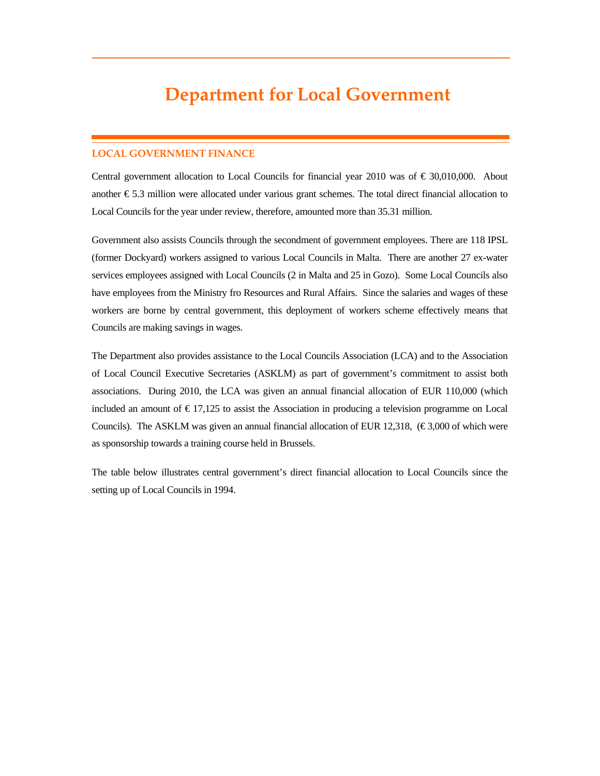# **Department for Local Government**

# **LOCAL GOVERNMENT FINANCE**

Central government allocation to Local Councils for financial year 2010 was of  $\epsilon$  30,010,000. About another € 5.3 million were allocated under various grant schemes. The total direct financial allocation to Local Councils for the year under review, therefore, amounted more than 35.31 million.

Government also assists Councils through the secondment of government employees. There are 118 IPSL (former Dockyard) workers assigned to various Local Councils in Malta. There are another 27 ex-water services employees assigned with Local Councils (2 in Malta and 25 in Gozo). Some Local Councils also have employees from the Ministry fro Resources and Rural Affairs. Since the salaries and wages of these workers are borne by central government, this deployment of workers scheme effectively means that Councils are making savings in wages.

The Department also provides assistance to the Local Councils Association (LCA) and to the Association of Local Council Executive Secretaries (ASKLM) as part of government's commitment to assist both associations. During 2010, the LCA was given an annual financial allocation of EUR 110,000 (which included an amount of  $\epsilon$  17,125 to assist the Association in producing a television programme on Local Councils). The ASKLM was given an annual financial allocation of EUR 12,318,  $(\epsilon \leq 3,000$  of which were as sponsorship towards a training course held in Brussels.

The table below illustrates central government's direct financial allocation to Local Councils since the setting up of Local Councils in 1994.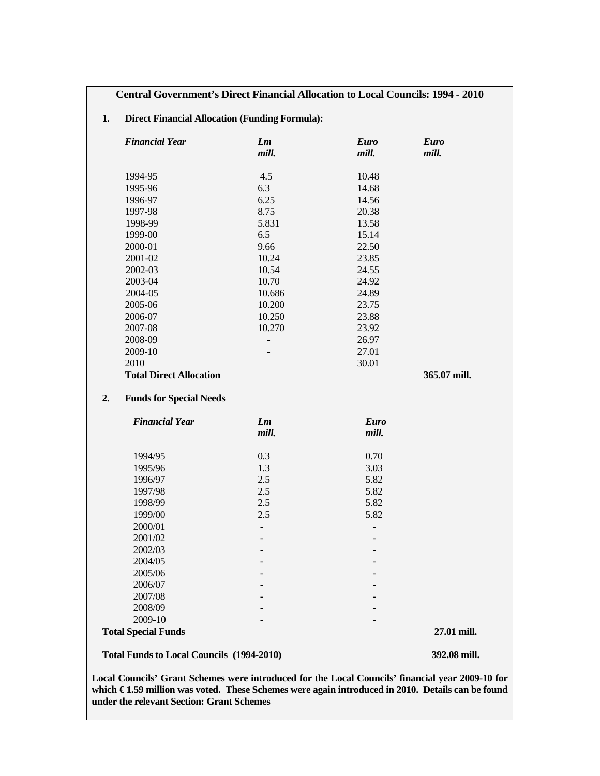# **1. Direct Financial Allocation (Funding Formula):**

| <b>Financial Year</b>                            | Lm<br>mill.              | <b>Euro</b><br>mill. | <b>Euro</b><br>mill. |
|--------------------------------------------------|--------------------------|----------------------|----------------------|
| 1994-95                                          | 4.5                      | 10.48                |                      |
| 1995-96                                          | 6.3                      | 14.68                |                      |
| 1996-97                                          | 6.25                     | 14.56                |                      |
| 1997-98                                          | 8.75                     | 20.38                |                      |
| 1998-99                                          | 5.831                    | 13.58                |                      |
| 1999-00                                          | 6.5                      | 15.14                |                      |
| 2000-01                                          | 9.66                     | 22.50                |                      |
| 2001-02                                          | 10.24                    | 23.85                |                      |
| 2002-03                                          | 10.54                    | 24.55                |                      |
| 2003-04                                          | 10.70                    | 24.92                |                      |
| 2004-05                                          | 10.686                   | 24.89                |                      |
| 2005-06                                          | 10.200                   | 23.75                |                      |
| 2006-07                                          | 10.250                   | 23.88                |                      |
| 2007-08                                          | 10.270                   | 23.92                |                      |
| 2008-09                                          | $\overline{\phantom{m}}$ | 26.97                |                      |
| 2009-10                                          | $\overline{\phantom{0}}$ | 27.01                |                      |
| 2010                                             |                          | 30.01                |                      |
| <b>Total Direct Allocation</b>                   |                          |                      | 365.07 mill.         |
| <b>Funds for Special Needs</b><br>2.             |                          |                      |                      |
| <b>Financial Year</b>                            | Lm                       | <b>Euro</b>          |                      |
|                                                  | mill.                    | mill.                |                      |
| 1994/95                                          | 0.3                      | 0.70                 |                      |
| 1995/96                                          | 1.3                      | 3.03                 |                      |
| 1996/97                                          | 2.5                      | 5.82                 |                      |
| 1997/98                                          | 2.5                      | 5.82                 |                      |
| 1998/99                                          | 2.5                      | 5.82                 |                      |
| 1999/00                                          | 2.5                      | 5.82                 |                      |
| 2000/01                                          | $\overline{\phantom{a}}$ |                      |                      |
| 2001/02                                          |                          |                      |                      |
| 2002/03                                          |                          |                      |                      |
| 2004/05                                          |                          |                      |                      |
| 2005/06                                          |                          |                      |                      |
| 2006/07                                          |                          |                      |                      |
| 2007/08                                          |                          |                      |                      |
| 2008/09                                          |                          |                      |                      |
| 2009-10                                          |                          |                      |                      |
| <b>Total Special Funds</b>                       |                          |                      | 27.01 mill.          |
| <b>Total Funds to Local Councils (1994-2010)</b> |                          |                      | 392.08 mill.         |

**Local Councils' Grant Schemes were introduced for the Local Councils' financial year 2009-10 for**  which € 1.59 million was voted. These Schemes were again introduced in 2010. Details can be found **under the relevant Section: Grant Schemes**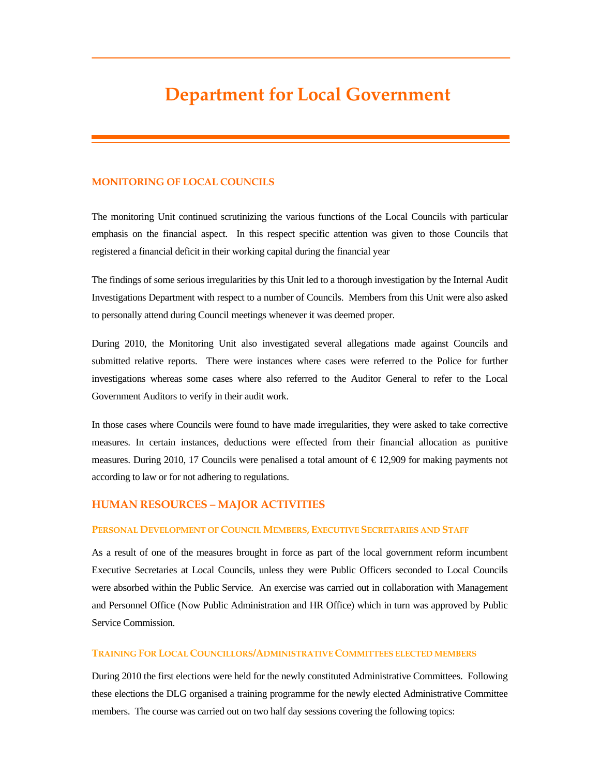# **Department for Local Government**

#### **MONITORING OF LOCAL COUNCILS**

The monitoring Unit continued scrutinizing the various functions of the Local Councils with particular emphasis on the financial aspect. In this respect specific attention was given to those Councils that registered a financial deficit in their working capital during the financial year

The findings of some serious irregularities by this Unit led to a thorough investigation by the Internal Audit Investigations Department with respect to a number of Councils. Members from this Unit were also asked to personally attend during Council meetings whenever it was deemed proper.

During 2010, the Monitoring Unit also investigated several allegations made against Councils and submitted relative reports. There were instances where cases were referred to the Police for further investigations whereas some cases where also referred to the Auditor General to refer to the Local Government Auditors to verify in their audit work.

In those cases where Councils were found to have made irregularities, they were asked to take corrective measures. In certain instances, deductions were effected from their financial allocation as punitive measures. During 2010, 17 Councils were penalised a total amount of € 12,909 for making payments not according to law or for not adhering to regulations.

## **HUMAN RESOURCES – MAJOR ACTIVITIES**

#### **PERSONAL DEVELOPMENT OF COUNCIL MEMBERS, EXECUTIVE SECRETARIES AND STAFF**

As a result of one of the measures brought in force as part of the local government reform incumbent Executive Secretaries at Local Councils, unless they were Public Officers seconded to Local Councils were absorbed within the Public Service. An exercise was carried out in collaboration with Management and Personnel Office (Now Public Administration and HR Office) which in turn was approved by Public Service Commission.

#### **TRAINING FOR LOCAL COUNCILLORS/ADMINISTRATIVE COMMITTEES ELECTED MEMBERS**

During 2010 the first elections were held for the newly constituted Administrative Committees. Following these elections the DLG organised a training programme for the newly elected Administrative Committee members. The course was carried out on two half day sessions covering the following topics: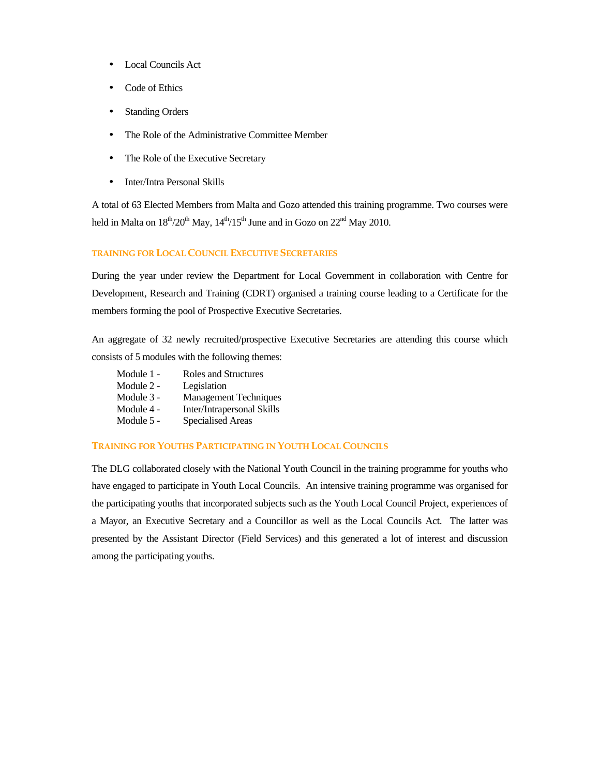- Local Councils Act
- Code of Ethics
- **Standing Orders**
- The Role of the Administrative Committee Member
- The Role of the Executive Secretary
- Inter/Intra Personal Skills

A total of 63 Elected Members from Malta and Gozo attended this training programme. Two courses were held in Malta on  $18<sup>th</sup>/20<sup>th</sup>$  May,  $14<sup>th</sup>/15<sup>th</sup>$  June and in Gozo on  $22<sup>nd</sup>$  May 2010.

## **TRAINING FOR LOCAL COUNCIL EXECUTIVE SECRETARIES**

During the year under review the Department for Local Government in collaboration with Centre for Development, Research and Training (CDRT) organised a training course leading to a Certificate for the members forming the pool of Prospective Executive Secretaries.

An aggregate of 32 newly recruited/prospective Executive Secretaries are attending this course which consists of 5 modules with the following themes:

Module 1 - Roles and Structures Module 2 - Legislation Module 3 - Management Techniques Module 4 - Inter/Intrapersonal Skills<br>Module 5 - Specialised Areas Specialised Areas

## **TRAINING FOR YOUTHS PARTICIPATING IN YOUTH LOCAL COUNCILS**

The DLG collaborated closely with the National Youth Council in the training programme for youths who have engaged to participate in Youth Local Councils. An intensive training programme was organised for the participating youths that incorporated subjects such as the Youth Local Council Project, experiences of a Mayor, an Executive Secretary and a Councillor as well as the Local Councils Act. The latter was presented by the Assistant Director (Field Services) and this generated a lot of interest and discussion among the participating youths.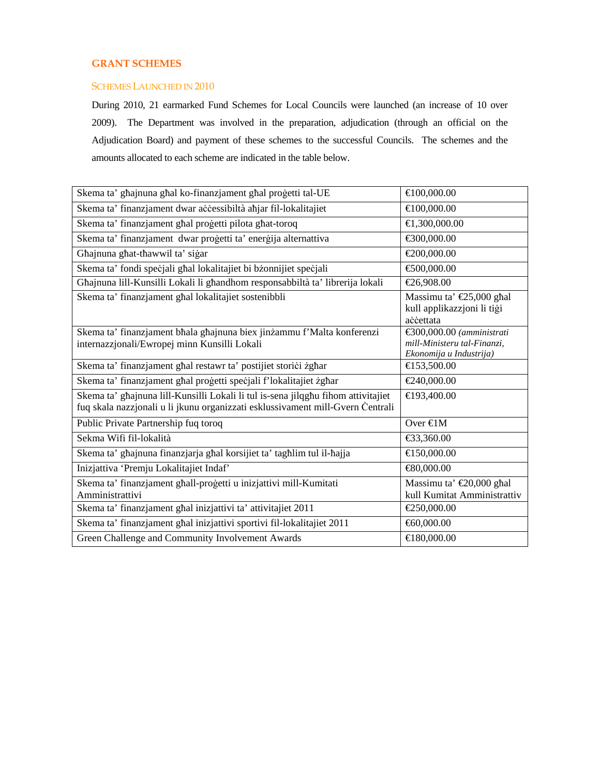# **GRANT SCHEMES**

#### SCHEMES LAUNCHED IN 2010

During 2010, 21 earmarked Fund Schemes for Local Councils were launched (an increase of 10 over 2009). The Department was involved in the preparation, adjudication (through an official on the Adjudication Board) and payment of these schemes to the successful Councils. The schemes and the amounts allocated to each scheme are indicated in the table below.

| Skema ta' ghajnuna ghal ko-finanzjament ghal progetti tal-UE                                                                                                        | €100,000.00                                                                           |
|---------------------------------------------------------------------------------------------------------------------------------------------------------------------|---------------------------------------------------------------------------------------|
| Skema ta' finanzjament dwar accessibiltà aħjar fil-lokalitajiet                                                                                                     | €100,000.00                                                                           |
| Skema ta' finanzjament ghal progetti pilota ghat-toroq                                                                                                              | €1,300,000.00                                                                         |
| Skema ta' finanzjament dwar progetti ta' energija alternattiva                                                                                                      | €300,000.00                                                                           |
| Ghajnuna ghat-thawwil ta' sigar                                                                                                                                     | €200,000.00                                                                           |
| Skema ta' fondi specjali ghal lokalitajiet bi bżonnijiet specjali                                                                                                   | €500,000.00                                                                           |
| Ghajnuna lill-Kunsilli Lokali li ghandhom responsabbiltà ta' librerija lokali                                                                                       | €26,90800                                                                             |
| Skema ta' finanzjament ghal lokalitajiet sostenibbli                                                                                                                | Massimu ta' €25,000 shal<br>kull applikazzjoni li tiği<br>accettata                   |
| Skema ta' finanzjament bhala ghajnuna biex jinżammu f'Malta konferenzi<br>internazzjonali/Ewropej minn Kunsilli Lokali                                              | €300,000.00 $(amministrati$<br>mill-Ministeru tal-Finanzi,<br>Ekonomija u Industrija) |
| Skema ta' finanzjament ghal restawr ta' postijiet storici żghar                                                                                                     | €153,500.00                                                                           |
| Skema ta' finanzjament ghal progetti specjali f'lokalitajiet żghar                                                                                                  | €240,000.00                                                                           |
| Skema ta' ghajnuna lill-Kunsilli Lokali li tul is-sena jilqghu fihom attivitajiet<br>fuq skala nazzjonali u li jkunu organizzati esklussivament mill-Gvern Centrali | €193,400.00                                                                           |
| Public Private Partnership fuq toroq                                                                                                                                | Over $\epsilon$ 1M                                                                    |
| Sekma Wifi fil-lokalità                                                                                                                                             | €33,360.00                                                                            |
| Skema ta' ghajnuna finanzjarja ghal korsijiet ta' taghlim tul il-hajja                                                                                              | €150,000.00                                                                           |
| Inizjattiva 'Premju Lokalitajiet Indaf'                                                                                                                             | €80,000.00                                                                            |
| Skema ta' finanzjament ghall-progetti u inizjattivi mill-Kumitati<br>Amministrattivi                                                                                | Massimu ta' €20,000 ghal<br>kull Kumitat Amministrattiv                               |
| Skema ta' finanzjament ghal inizjattivi ta' attivitajiet 2011                                                                                                       | €250,000.00                                                                           |
| Skema ta' finanzjament għal inizjattivi sportivi fil-lokalitajiet 2011                                                                                              | €60,000.00                                                                            |
| Green Challenge and Community Involvement Awards                                                                                                                    | €180,000.00                                                                           |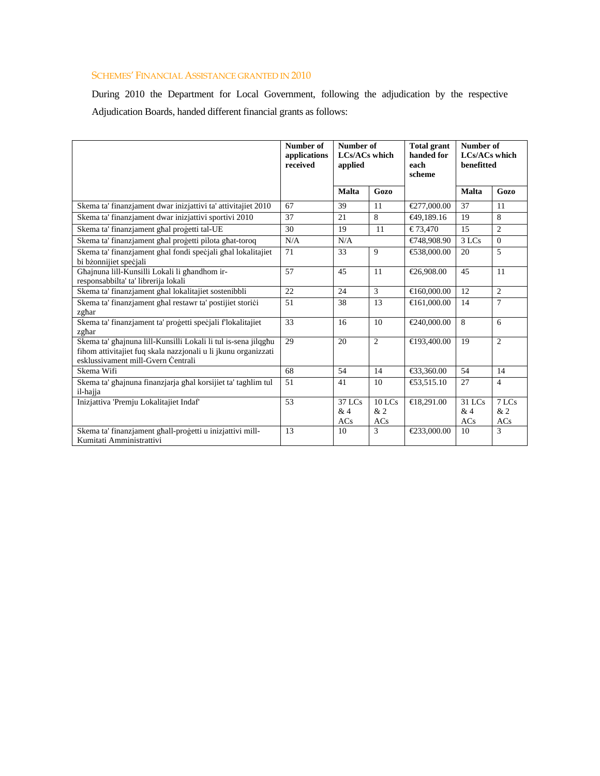# SCHEMES' FINANCIAL ASSISTANCE GRANTED IN 2010

During 2010 the Department for Local Government, following the adjudication by the respective Adjudication Boards, handed different financial grants as follows:

|                                                                                                                                                                        | Number of<br>applications<br>received | Number of<br><b>LCs/ACs which</b><br>applied |                       | <b>Total grant</b><br>handed for<br>each<br>scheme | Number of<br><b>LCs/ACs which</b><br>benefitted |                    |
|------------------------------------------------------------------------------------------------------------------------------------------------------------------------|---------------------------------------|----------------------------------------------|-----------------------|----------------------------------------------------|-------------------------------------------------|--------------------|
|                                                                                                                                                                        |                                       | <b>Malta</b>                                 | Gozo                  |                                                    | <b>Malta</b>                                    | Gozo               |
| Skema ta' finanzjament dwar inizjattivi ta' attivitajiet 2010                                                                                                          | 67                                    | 39                                           | 11                    | €277,000.00                                        | 37                                              | 11                 |
| Skema ta' finanzjament dwar inizjattivi sportivi 2010                                                                                                                  | 37                                    | 21                                           | 8                     | €49,189.16                                         | 19                                              | 8                  |
| Skema ta' finanzjament għal proġetti tal-UE                                                                                                                            | 30                                    | 19                                           | 11                    | € 73.470                                           | 15                                              | 2                  |
| Skema ta' finanzjament ghal progetti pilota ghat-toroq                                                                                                                 | N/A                                   | N/A                                          |                       | €748,908.90                                        | 3 LCs                                           | $\theta$           |
| Skema ta' finanzjament ghal fondi specjali ghal lokalitajiet<br>bi bżonnijiet specjali                                                                                 | 71                                    | 33                                           | 9                     | €538,000.00                                        | 20                                              | 5                  |
| Ghajnuna lill-Kunsilli Lokali li ghandhom ir-<br>responsabbilta' ta' librerija lokali                                                                                  | 57                                    | 45                                           | 11                    | €26,908.00                                         | 45                                              | 11                 |
| Skema ta' finanzjament għal lokalitajiet sostenibbli                                                                                                                   | 22                                    | 24                                           | 3                     | €160,000.00                                        | 12                                              | $\overline{c}$     |
| Skema ta' finanzjament għal restawr ta' postijiet storici<br>zghar                                                                                                     | 51                                    | 38                                           | 13                    | €161,000.00                                        | 14                                              | 7                  |
| Skema ta' finanzjament ta' progetti specjali flokalitajiet<br>zghar                                                                                                    | 33                                    | 16                                           | 10                    | €240,000.00                                        | 8                                               | 6                  |
| Skema ta' ghajnuna lill-Kunsilli Lokali li tul is-sena jilqghu<br>fihom attivitajiet fuq skala nazzjonali u li jkunu organizzati<br>esklussivament mill-Gvern Centrali | 29                                    | 20                                           | 2                     | €193,400.00                                        | 19                                              | 2                  |
| Skema Wifi                                                                                                                                                             | 68                                    | 54                                           | 14                    | €33,360.00                                         | 54                                              | 14                 |
| Skema ta' ghajnuna finanzjarja ghal korsijiet ta' taghlim tul<br>il-hajja                                                                                              | 51                                    | 41                                           | 10                    | €53,515.10                                         | 27                                              | $\overline{4}$     |
| Inizjattiva 'Premju Lokalitajiet Indaf'                                                                                                                                | 53                                    | 37 LCs<br>&4<br>ACs                          | $10$ LCs<br>&2<br>ACs | €18,291.00                                         | 31 LCs<br>&4<br>ACs                             | 7 LCs<br>&2<br>ACs |
| Skema ta' finanzjament ghall-progetti u inizjattivi mill-<br>Kumitati Amministrattivi                                                                                  | 13                                    | 10                                           | 3                     | €233,000.00                                        | 10                                              | 3                  |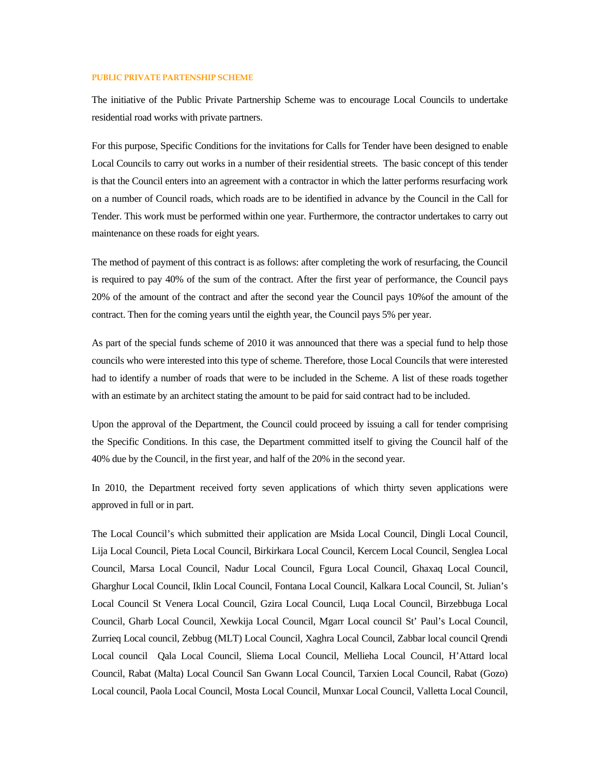#### **PUBLIC PRIVATE PARTENSHIP SCHEME**

The initiative of the Public Private Partnership Scheme was to encourage Local Councils to undertake residential road works with private partners.

For this purpose, Specific Conditions for the invitations for Calls for Tender have been designed to enable Local Councils to carry out works in a number of their residential streets. The basic concept of this tender is that the Council enters into an agreement with a contractor in which the latter performs resurfacing work on a number of Council roads, which roads are to be identified in advance by the Council in the Call for Tender. This work must be performed within one year. Furthermore, the contractor undertakes to carry out maintenance on these roads for eight years.

The method of payment of this contract is as follows: after completing the work of resurfacing, the Council is required to pay 40% of the sum of the contract. After the first year of performance, the Council pays 20% of the amount of the contract and after the second year the Council pays 10%of the amount of the contract. Then for the coming years until the eighth year, the Council pays 5% per year.

As part of the special funds scheme of 2010 it was announced that there was a special fund to help those councils who were interested into this type of scheme. Therefore, those Local Councils that were interested had to identify a number of roads that were to be included in the Scheme. A list of these roads together with an estimate by an architect stating the amount to be paid for said contract had to be included.

Upon the approval of the Department, the Council could proceed by issuing a call for tender comprising the Specific Conditions. In this case, the Department committed itself to giving the Council half of the 40% due by the Council, in the first year, and half of the 20% in the second year.

In 2010, the Department received forty seven applications of which thirty seven applications were approved in full or in part.

The Local Council's which submitted their application are Msida Local Council, Dingli Local Council, Lija Local Council, Pieta Local Council, Birkirkara Local Council, Kercem Local Council, Senglea Local Council, Marsa Local Council, Nadur Local Council, Fgura Local Council, Ghaxaq Local Council, Gharghur Local Council, Iklin Local Council, Fontana Local Council, Kalkara Local Council, St. Julian's Local Council St Venera Local Council, Gzira Local Council, Luqa Local Council, Birzebbuga Local Council, Gharb Local Council, Xewkija Local Council, Mgarr Local council St' Paul's Local Council, Zurrieq Local council, Zebbug (MLT) Local Council, Xaghra Local Council, Zabbar local council Qrendi Local council Qala Local Council, Sliema Local Council, Mellieha Local Council, H'Attard local Council, Rabat (Malta) Local Council San Gwann Local Council, Tarxien Local Council, Rabat (Gozo) Local council, Paola Local Council, Mosta Local Council, Munxar Local Council, Valletta Local Council,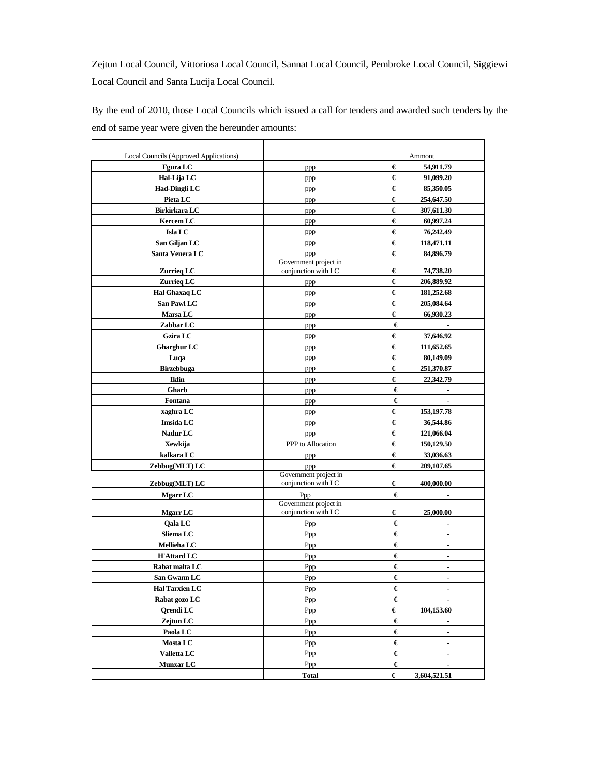Zejtun Local Council, Vittoriosa Local Council, Sannat Local Council, Pembroke Local Council, Siggiewi Local Council and Santa Lucija Local Council.

By the end of 2010, those Local Councils which issued a call for tenders and awarded such tenders by the end of same year were given the hereunder amounts:

| Local Councils (Approved Applications) |                                              | Ammont              |
|----------------------------------------|----------------------------------------------|---------------------|
| <b>Fgura LC</b>                        | ppp                                          | €<br>54,911.79      |
| Hal-Lija LC                            | ppp                                          | €<br>91,099.20      |
| Had-Dingli LC                          | ppp                                          | €<br>85,350.05      |
| Pieta LC                               | ppp                                          | €<br>254,647.50     |
| Birkirkara LC                          | ppp                                          | €<br>307,611.30     |
| <b>Kercem LC</b>                       | ppp                                          | €<br>60,997.24      |
| Isla LC                                | ppp                                          | €<br>76,242.49      |
| San Giljan LC                          | ppp                                          | €<br>118,471.11     |
| Santa Venera LC                        | ppp                                          | €<br>84,896.79      |
|                                        | Government project in                        |                     |
| Zurrieq LC                             | conjunction with LC                          | €<br>74,738.20      |
| Zurrieg LC                             | ppp                                          | €<br>206,889.92     |
| Hal Ghaxaq LC                          | ppp                                          | €<br>181,252.68     |
| San Pawl LC                            | ppp                                          | €<br>205,084.64     |
| <b>Marsa LC</b>                        | ppp                                          | €<br>66,930.23      |
| Zabbar LC                              | ppp                                          | €                   |
| <b>Gzira LC</b>                        | ppp                                          | €<br>37,646.92      |
| <b>Gharghur LC</b>                     | ppp                                          | €<br>111,652.65     |
| Luqa                                   | ppp                                          | €<br>80,149.09      |
| Birzebbuga                             | ppp                                          | €<br>251,370.87     |
| <b>Iklin</b>                           |                                              | €<br>22,342.79      |
| Gharb                                  | ppp                                          | €                   |
|                                        | ppp                                          | €                   |
| Fontana                                | ppp                                          |                     |
| xaghra LC                              | ppp                                          | €<br>153, 197. 78   |
| Imsida LC                              | ppp                                          | €<br>36,544.86      |
| Nadur LC                               | ppp                                          | €<br>121,066.04     |
| Xewkija                                | PPP to Allocation                            | €<br>150,129.50     |
| kalkara LC                             | ppp                                          | €<br>33,036.63      |
| Zebbug(MLT) LC                         | ppp                                          | €<br>209,107.65     |
| Zebbug(MLT) LC                         | Government project in<br>conjunction with LC | €<br>400,000.00     |
| <b>Mgarr LC</b>                        | Ppp                                          | €<br>ä,             |
|                                        | Government project in                        |                     |
| <b>Mgarr LC</b>                        | conjunction with LC                          | €<br>25,000.00      |
| Oala LC                                | Ppp                                          | €<br>٠              |
| Sliema LC                              | Ppp                                          | €                   |
| Mellieha LC                            | Ppp                                          | €<br>ä,             |
| <b>H'Attard LC</b>                     | Ppp                                          | €<br>٠              |
| Rabat malta LC                         | Ppp                                          | €<br>۰              |
| San Gwann LC                           | Ppp                                          | €<br>٠              |
| <b>Hal Tarxien LC</b>                  | Ppp                                          | €<br>$\blacksquare$ |
| Rabat gozo LC                          | Ppp                                          | €                   |
| <b>Qrendi</b> LC                       | Ppp                                          | €<br>104,153.60     |
| Zejtun LC                              |                                              | €                   |
|                                        | Ppp                                          | $\blacksquare$      |
| Paola LC                               | Ppp                                          | €<br>$\blacksquare$ |
| <b>Mosta LC</b>                        | Ppp                                          | €<br>$\blacksquare$ |
| <b>Valletta LC</b>                     | Ppp                                          | €<br>$\blacksquare$ |
| <b>Munxar LC</b>                       | Ppp                                          | €<br>$\blacksquare$ |
|                                        | <b>Total</b>                                 | €<br>3,604,521.51   |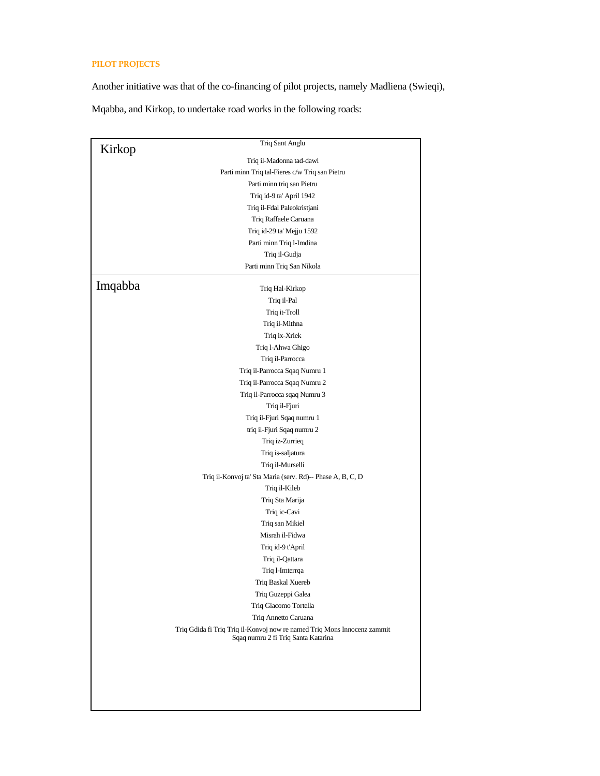# **PILOT PROJECTS**

Another initiative was that of the co-financing of pilot projects, namely Madliena (Swieqi),

Mqabba, and Kirkop, to undertake road works in the following roads:

|         | Triq Sant Anglu                                                                                                 |
|---------|-----------------------------------------------------------------------------------------------------------------|
| Kirkop  | Triq il-Madonna tad-dawl                                                                                        |
|         | Parti minn Triq tal-Fieres c/w Triq san Pietru                                                                  |
|         | Parti minn triq san Pietru                                                                                      |
|         | Triq id-9 ta' April 1942                                                                                        |
|         | Triq il-Fdal Paleokristjani                                                                                     |
|         | Triq Raffaele Caruana                                                                                           |
|         | Triq id-29 ta' Mejju 1592                                                                                       |
|         | Parti minn Triq l-Imdina                                                                                        |
|         | Triq il-Gudja                                                                                                   |
|         | Parti minn Triq San Nikola                                                                                      |
|         |                                                                                                                 |
| Imqabba | Triq Hal-Kirkop                                                                                                 |
|         | Triq il-Pal                                                                                                     |
|         | Triq it-Troll                                                                                                   |
|         | Triq il-Mithna                                                                                                  |
|         | Triq ix-Xriek                                                                                                   |
|         | Triq l-Ahwa Ghigo                                                                                               |
|         | Triq il-Parrocca                                                                                                |
|         | Triq il-Parrocca Sqaq Numru 1                                                                                   |
|         | Triq il-Parrocca Sqaq Numru 2                                                                                   |
|         | Triq il-Parrocca sqaq Numru 3                                                                                   |
|         | Triq il-Fjuri                                                                                                   |
|         | Triq il-Fjuri Sqaq numru 1                                                                                      |
|         | triq il-Fjuri Sqaq numru 2                                                                                      |
|         | Triq iz-Zurrieq                                                                                                 |
|         | Triq is-saljatura                                                                                               |
|         | Triq il-Murselli                                                                                                |
|         | Triq il-Konvoj ta' Sta Maria (serv. Rd)-- Phase A, B, C, D                                                      |
|         | Triq il-Kileb                                                                                                   |
|         | Triq Sta Marija                                                                                                 |
|         | Triq ic-Cavi                                                                                                    |
|         | Triq san Mikiel                                                                                                 |
|         | Misrah il-Fidwa                                                                                                 |
|         | Triq id-9 t'April                                                                                               |
|         | Triq il-Qattara                                                                                                 |
|         | Triq l-Imterrqa                                                                                                 |
|         | Triq Baskal Xuereb                                                                                              |
|         | Triq Guzeppi Galea                                                                                              |
|         | Triq Giacomo Tortella                                                                                           |
|         | Triq Annetto Caruana                                                                                            |
|         | Triq Gdida fi Triq Triq il-Konvoj now re named Triq Mons Innocenz zammit<br>Sqaq numru 2 fi Triq Santa Katarina |
|         |                                                                                                                 |
|         |                                                                                                                 |
|         |                                                                                                                 |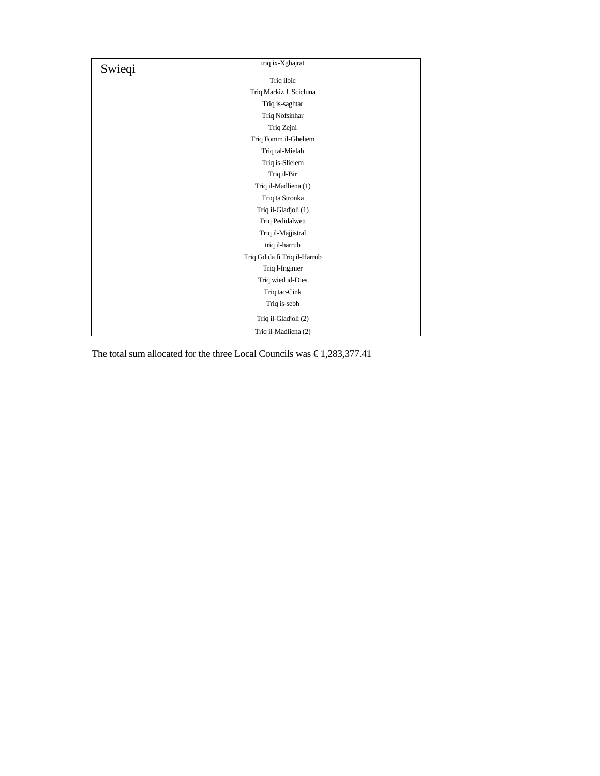| Swieqi | triq ix-Xghajrat             |
|--------|------------------------------|
|        | Triq ilbic                   |
|        | Triq Markiz J. Scicluna      |
|        | Triq is-saghtar              |
|        | Triq Nofsinhar               |
|        | Triq Zejni                   |
|        | Triq Fomm il-Gheliem         |
|        | Triq tal-Mielah              |
|        | Triq is-Slielem              |
|        | Triq il-Bir                  |
|        | Triq il-Madliena (1)         |
|        | Triq ta Stronka              |
|        | Triq il-Gladjoli (1)         |
|        | Triq Pedidalwett             |
|        | Triq il-Majjistral           |
|        | triq il-harrub               |
|        | Triq Gdida fi Triq il-Harrub |
|        | Triq l-Inginier              |
|        | Triq wied id-Dies            |
|        | Triq tac-Cink                |
|        | Triq is-sebh                 |
|        | Triq il-Gladjoli (2)         |
|        | Triq il-Madliena (2)         |

The total sum allocated for the three Local Councils was  $\in$  1,283,377.41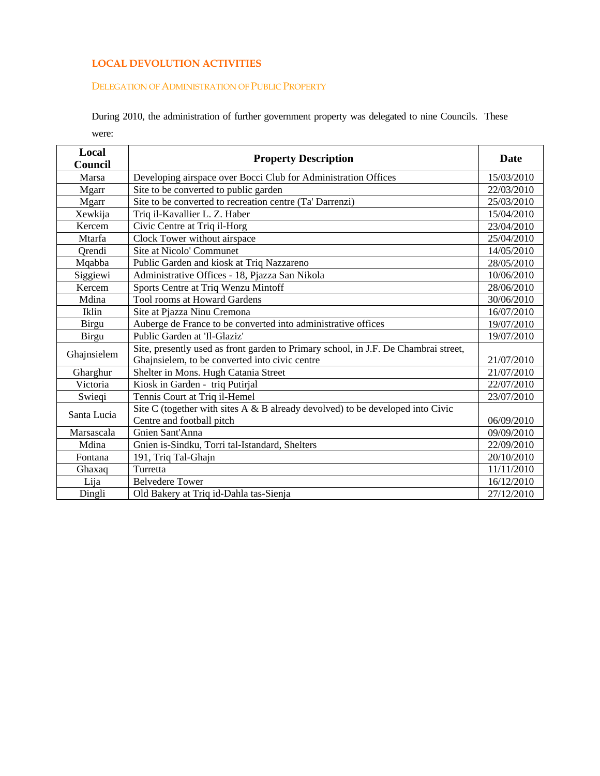# **LOCAL DEVOLUTION ACTIVITIES**

### DELEGATION OF ADMINISTRATION OF PUBLIC PROPERTY

During 2010, the administration of further government property was delegated to nine Councils. These were:

| Local        | <b>Property Description</b>                                                         |            |
|--------------|-------------------------------------------------------------------------------------|------------|
| Council      |                                                                                     |            |
| Marsa        | Developing airspace over Bocci Club for Administration Offices                      | 15/03/2010 |
| Mgarr        | Site to be converted to public garden                                               | 22/03/2010 |
| <b>Mgarr</b> | Site to be converted to recreation centre (Ta' Darrenzi)                            | 25/03/2010 |
| Xewkija      | Triq il-Kavallier L. Z. Haber                                                       | 15/04/2010 |
| Kercem       | Civic Centre at Triq il-Horg                                                        | 23/04/2010 |
| Mtarfa       | Clock Tower without airspace                                                        | 25/04/2010 |
| Orendi       | Site at Nicolo' Communet                                                            | 14/05/2010 |
| Mqabba       | Public Garden and kiosk at Triq Nazzareno                                           | 28/05/2010 |
| Siggiewi     | Administrative Offices - 18, Pjazza San Nikola                                      | 10/06/2010 |
| Kercem       | Sports Centre at Triq Wenzu Mintoff                                                 | 28/06/2010 |
| Mdina        | <b>Tool rooms at Howard Gardens</b>                                                 | 30/06/2010 |
| <b>Iklin</b> | Site at Pjazza Ninu Cremona                                                         | 16/07/2010 |
| <b>Birgu</b> | Auberge de France to be converted into administrative offices                       | 19/07/2010 |
| <b>Birgu</b> | Public Garden at 'Il-Glaziz'                                                        | 19/07/2010 |
| Ghajnsielem  | Site, presently used as front garden to Primary school, in J.F. De Chambrai street, |            |
|              | Ghajnsielem, to be converted into civic centre                                      | 21/07/2010 |
| Gharghur     | Shelter in Mons. Hugh Catania Street                                                | 21/07/2010 |
| Victoria     | Kiosk in Garden - triq Putirjal                                                     | 22/07/2010 |
| Swieqi       | Tennis Court at Triq il-Hemel                                                       | 23/07/2010 |
| Santa Lucia  | Site C (together with sites $A \& B$ already devolved) to be developed into Civic   |            |
|              | Centre and football pitch                                                           | 06/09/2010 |
| Marsascala   | Gnien Sant'Anna                                                                     | 09/09/2010 |
| Mdina        | Gnien is-Sindku, Torri tal-Istandard, Shelters                                      | 22/09/2010 |
| Fontana      | 191, Triq Tal-Ghajn                                                                 | 20/10/2010 |
| Ghaxaq       | Turretta                                                                            | 11/11/2010 |
| Lija         | <b>Belvedere Tower</b>                                                              | 16/12/2010 |
| Dingli       | Old Bakery at Triq id-Dahla tas-Sienja                                              | 27/12/2010 |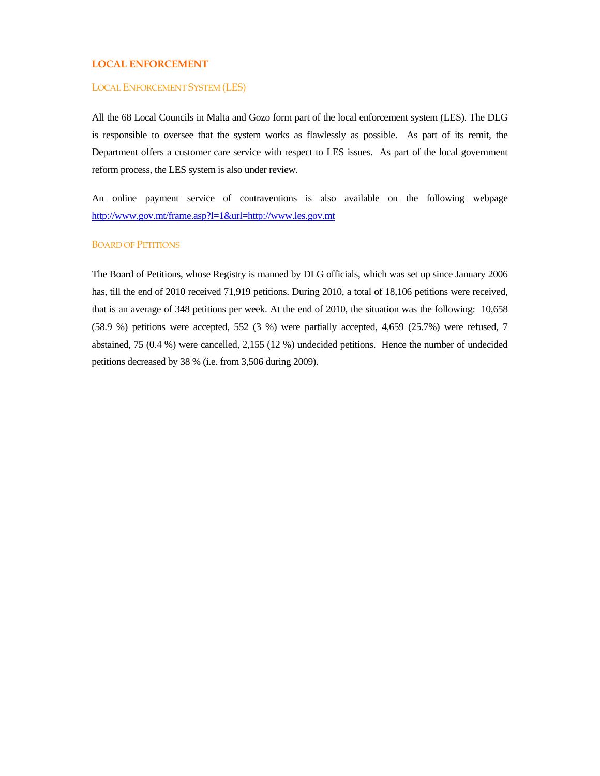# **LOCAL ENFORCEMENT**

#### LOCAL ENFORCEMENT SYSTEM (LES)

All the 68 Local Councils in Malta and Gozo form part of the local enforcement system (LES). The DLG is responsible to oversee that the system works as flawlessly as possible. As part of its remit, the Department offers a customer care service with respect to LES issues. As part of the local government reform process, the LES system is also under review.

An online payment service of contraventions is also available on the following webpage http://www.gov.mt/frame.asp?l=1&url=http://www.les.gov.mt

#### BOARD OF PETITIONS

The Board of Petitions, whose Registry is manned by DLG officials, which was set up since January 2006 has, till the end of 2010 received 71,919 petitions. During 2010, a total of 18,106 petitions were received, that is an average of 348 petitions per week. At the end of 2010, the situation was the following: 10,658 (58.9 %) petitions were accepted, 552 (3 %) were partially accepted, 4,659 (25.7%) were refused, 7 abstained, 75 (0.4 %) were cancelled, 2,155 (12 %) undecided petitions. Hence the number of undecided petitions decreased by 38 % (i.e. from 3,506 during 2009).